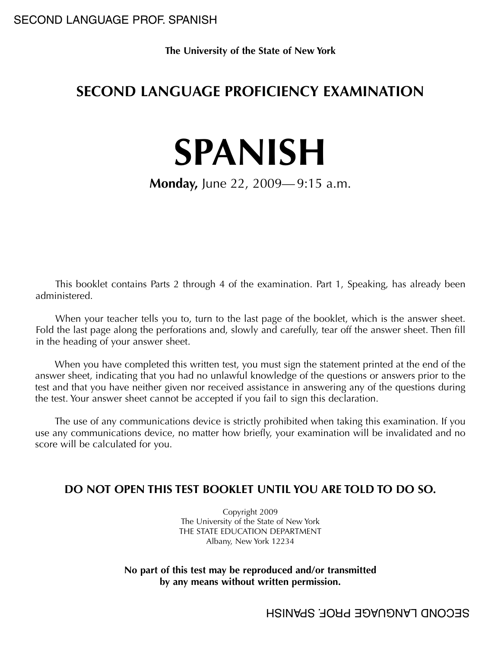**The University of the State of New York**

# **SECOND LANGUAGE PROFICIENCY EXAMINATION**

# **SPANISH**

# **Monday,** June 22, 2009— 9:15 a.m.

This booklet contains Parts 2 through 4 of the examination. Part 1, Speaking, has already been administered.

When your teacher tells you to, turn to the last page of the booklet, which is the answer sheet. Fold the last page along the perforations and, slowly and carefully, tear off the answer sheet. Then fill in the heading of your answer sheet.

When you have completed this written test, you must sign the statement printed at the end of the answer sheet, indicating that you had no unlawful knowledge of the questions or answers prior to the test and that you have neither given nor received assistance in answering any of the questions during the test. Your answer sheet cannot be accepted if you fail to sign this declaration.

The use of any communications device is strictly prohibited when taking this examination. If you use any communications device, no matter how briefly, your examination will be invalidated and no score will be calculated for you.

## **DO NOT OPEN THIS TEST BOOKLET UNTIL YOU ARE TOLD TO DO SO.**

Copyright 2009 The University of the State of New York THE STATE EDUCATION DEPARTMENT Albany, New York 12234

#### **No part of this test may be reproduced and/or transmitted by any means without written permission.**

SECOND LANGUAGE PROF. SPANISH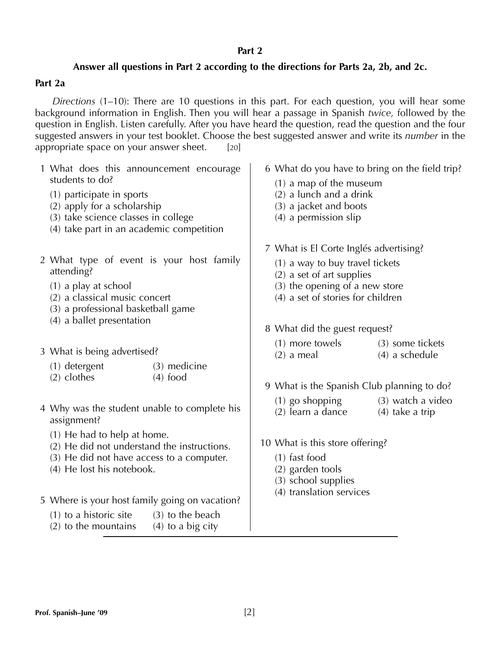#### **Part 2**

#### **Answer all questions in Part 2 according to the directions for Parts 2a, 2b, and 2c.**

#### **Part 2a**

*Directions* (1–10): There are 10 questions in this part. For each question, you will hear some background information in English. Then you will hear a passage in Spanish *twice,* followed by the question in English. Listen carefully. After you have heard the question, read the question and the four suggested answers in your test booklet. Choose the best suggested answer and write its *number* in the appropriate space on your answer sheet. [20]

| 1 What does this announcement encourage<br>students to do?<br>(1) participate in sports<br>(2) apply for a scholarship<br>(3) take science classes in college<br>(4) take part in an academic competition           | 6 What do you have to bring on the field trip?<br>$(1)$ a map of the museum<br>(2) a lunch and a drink<br>(3) a jacket and boots<br>(4) a permission slip                                                      |
|---------------------------------------------------------------------------------------------------------------------------------------------------------------------------------------------------------------------|----------------------------------------------------------------------------------------------------------------------------------------------------------------------------------------------------------------|
| 2 What type of event is your host family<br>attending?<br>$(1)$ a play at school<br>(2) a classical music concert<br>(3) a professional basketball game<br>(4) a ballet presentation                                | 7 What is El Corte Inglés advertising?<br>(1) a way to buy travel tickets<br>(2) a set of art supplies<br>(3) the opening of a new store<br>(4) a set of stories for children<br>8 What did the guest request? |
| 3 What is being advertised?<br>(3) medicine<br>(1) detergent<br>$(2)$ clothes<br>$(4)$ food                                                                                                                         | (1) more towels<br>(3) some tickets<br>$(4)$ a schedule<br>$(2)$ a meal<br>9 What is the Spanish Club planning to do?                                                                                          |
| 4 Why was the student unable to complete his<br>assignment?<br>(1) He had to help at home.<br>(2) He did not understand the instructions.<br>(3) He did not have access to a computer.<br>(4) He lost his notebook. | $(1)$ go shopping<br>(3) watch a video<br>(2) learn a dance<br>$(4)$ take a trip<br>10 What is this store offering?<br>$(1)$ fast food<br>(2) garden tools<br>(3) school supplies                              |
| 5 Where is your host family going on vacation?<br>$(1)$ to a historic site<br>$(3)$ to the beach<br>$(2)$ to the mountains<br>$(4)$ to a big city                                                                   | (4) translation services                                                                                                                                                                                       |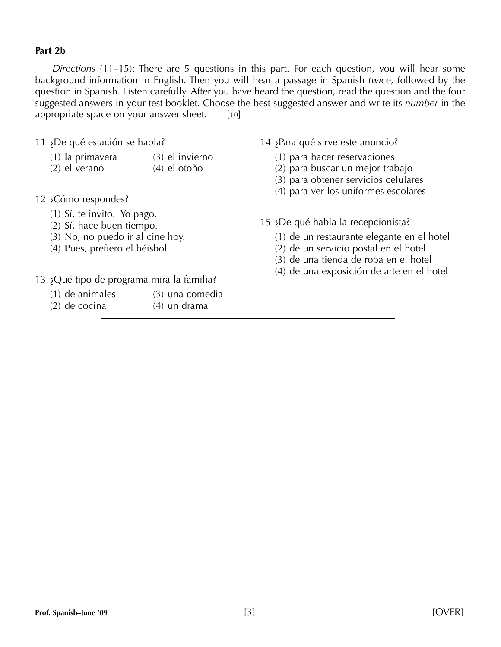#### **Part 2b**

*Directions* (11–15): There are 5 questions in this part. For each question, you will hear some background information in English. Then you will hear a passage in Spanish *twice,* followed by the question in Spanish. Listen carefully. After you have heard the question, read the question and the four suggested answers in your test booklet. Choose the best suggested answer and write its *number* in the appropriate space on your answer sheet.  $[10]$ 

|                                                                                                                                | 11 ¿De qué estación se habla?             |                                     | 14 ¡Para qué sirve este anuncio?                                                                                                                                                                                |
|--------------------------------------------------------------------------------------------------------------------------------|-------------------------------------------|-------------------------------------|-----------------------------------------------------------------------------------------------------------------------------------------------------------------------------------------------------------------|
|                                                                                                                                | (1) la primavera<br>$(2)$ el verano       | (3) el invierno<br>$(4)$ el otoño   | (1) para hacer reservaciones<br>(2) para buscar un mejor trabajo<br>(3) para obtener servicios celulares<br>(4) para ver los uniformes escolares                                                                |
|                                                                                                                                | 12 ¿Cómo respondes?                       |                                     |                                                                                                                                                                                                                 |
| (1) Sí, te invito. Yo pago.<br>(2) Sí, hace buen tiempo.<br>(3) No, no puedo ir al cine hoy.<br>(4) Pues, prefiero el béisbol. |                                           |                                     | 15 ¡De qué habla la recepcionista?<br>(1) de un restaurante elegante en el hotel<br>(2) de un servicio postal en el hotel<br>(3) de una tienda de ropa en el hotel<br>(4) de una exposición de arte en el hotel |
|                                                                                                                                | 13 ¿Qué tipo de programa mira la familia? |                                     |                                                                                                                                                                                                                 |
|                                                                                                                                | $(1)$ de animales<br>$(2)$ de cocina      | $(3)$ una comedia<br>$(4)$ un drama |                                                                                                                                                                                                                 |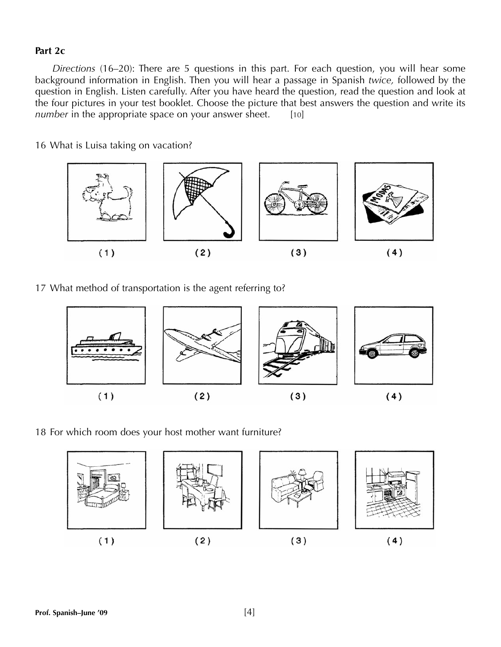#### **Part 2c**

*Directions* (16–20): There are 5 questions in this part. For each question, you will hear some background information in English. Then you will hear a passage in Spanish *twice,* followed by the question in English. Listen carefully. After you have heard the question, read the question and look at the four pictures in your test booklet. Choose the picture that best answers the question and write its *number* in the appropriate space on your answer sheet. [10]

16 What is Luisa taking on vacation?



17 What method of transportation is the agent referring to?



18 For which room does your host mother want furniture?

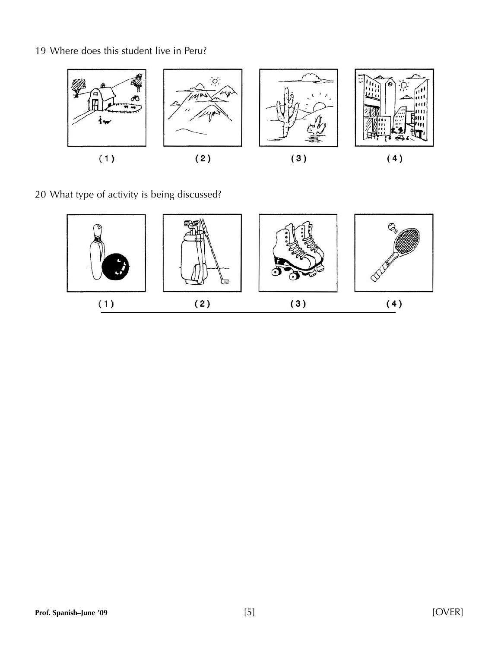19 Where does this student live in Peru?



20 What type of activity is being discussed?

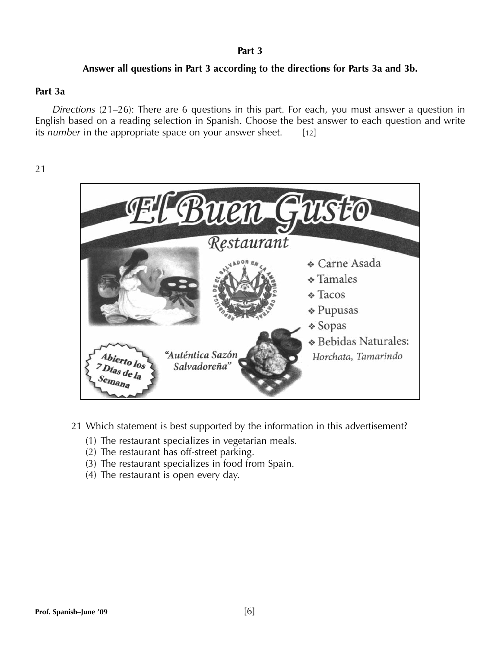#### **Part 3**

#### **Answer all questions in Part 3 according to the directions for Parts 3a and 3b.**

#### **Part 3a**

*Directions* (21–26): There are 6 questions in this part. For each, you must answer a question in English based on a reading selection in Spanish. Choose the best answer to each question and write its *number* in the appropriate space on your answer sheet. [12]

21



- 21 Which statement is best supported by the information in this advertisement?
	- (1) The restaurant specializes in vegetarian meals.
	- (2) The restaurant has off-street parking.
	- (3) The restaurant specializes in food from Spain.
	- (4) The restaurant is open every day.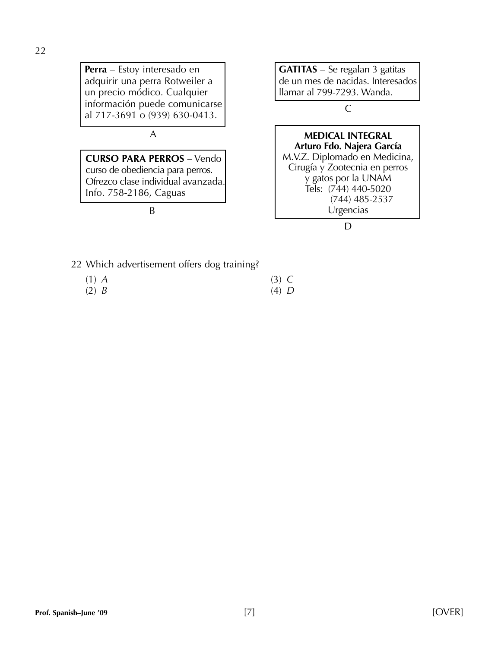**Perra** – Estoy interesado en adquirir una perra Rotweiler a un precio módico. Cualquier información puede comunicarse al 717-3691 o (939) 630-0413.

#### A

**CURSO PARA PERROS** – Vendo curso de obediencia para perros. Ofrezco clase individual avanzada. Info. 758-2186, Caguas

B

**GATITAS** – Se regalan 3 gatitas de un mes de nacidas. Interesados llamar al 799-7293. Wanda.

C

#### **MEDICAL INTEGRAL Arturo Fdo. Najera García**

M.V.Z. Diplomado en Medicina, Cirugía y Zootecnia en perros y gatos por la UNAM Tels: (744) 440-5020 (744) 485-2537 Urgencias

D

- 22 Which advertisement offers dog training?
	- (1) *A* (3) *C* (2) *B* (4) *D*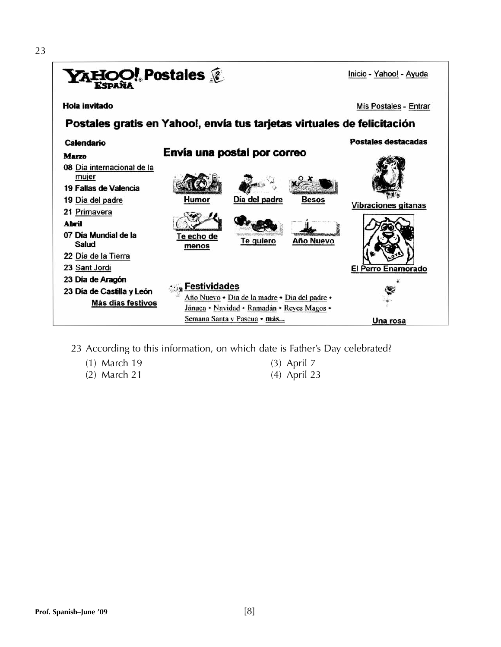

- 23 According to this information, on which date is Father's Day celebrated?
	- (1) March 19 (3) April 7
	- (2) March 21 (4) April 23
-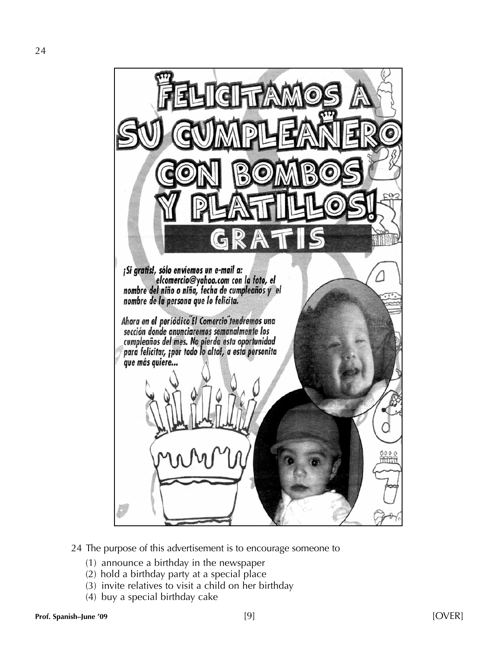

24 The purpose of this advertisement is to encourage someone to

- (1) announce a birthday in the newspaper
- (2) hold a birthday party at a special place
- (3) invite relatives to visit a child on her birthday
- (4) buy a special birthday cake

24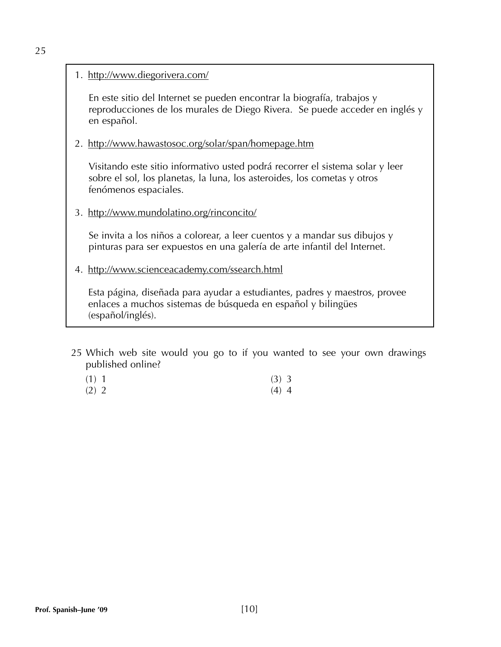#### 1. http://www.diegorivera.com/

En este sitio del Internet se pueden encontrar la biografía, trabajos y reproducciones de los murales de Diego Rivera. Se puede acceder en inglés y en español.

#### 2. http://www.hawastosoc.org/solar/span/homepage.htm

Visitando este sitio informativo usted podrá recorrer el sistema solar y leer sobre el sol, los planetas, la luna, los asteroides, los cometas y otros fenómenos espaciales.

3. http://www.mundolatino.org/rinconcito/

Se invita a los niños a colorear, a leer cuentos y a mandar sus dibujos y pinturas para ser expuestos en una galería de arte infantil del Internet.

4. http://www.scienceacademy.com/ssearch.html

Esta página, diseñada para ayudar a estudiantes, padres y maestros, provee enlaces a muchos sistemas de búsqueda en español y bilingües (español/inglés).

- 25 Which web site would you go to if you wanted to see your own drawings published online?
	- (1) 1 (3) 3 (2) 2 (4) 4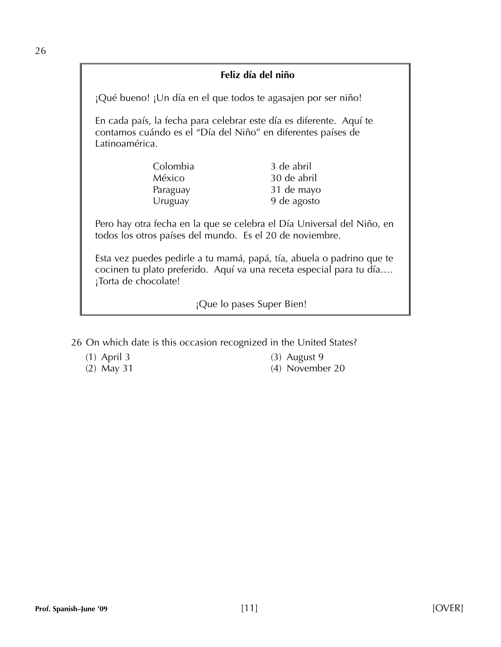### **Feliz día del niño**

¡Qué bueno! ¡Un día en el que todos te agasajen por ser niño!

En cada país, la fecha para celebrar este día es diferente. Aquí te contamos cuándo es el "Día del Niño" en diferentes países de Latinoamérica.

| Colombia | 3 de abril  |
|----------|-------------|
| México   | 30 de abril |
| Paraguay | 31 de mayo  |
| Uruguay  | 9 de agosto |

Pero hay otra fecha en la que se celebra el Día Universal del Niño, en todos los otros países del mundo. Es el 20 de noviembre.

Esta vez puedes pedirle a tu mamá, papá, tía, abuela o padrino que te cocinen tu plato preferido. Aquí va una receta especial para tu día…. ¡Torta de chocolate!

¡Que lo pases Super Bien!

26 On which date is this occasion recognized in the United States?

- 
- 
- (1) April 3 (3) August 9
- (2) May 31 (4) November 20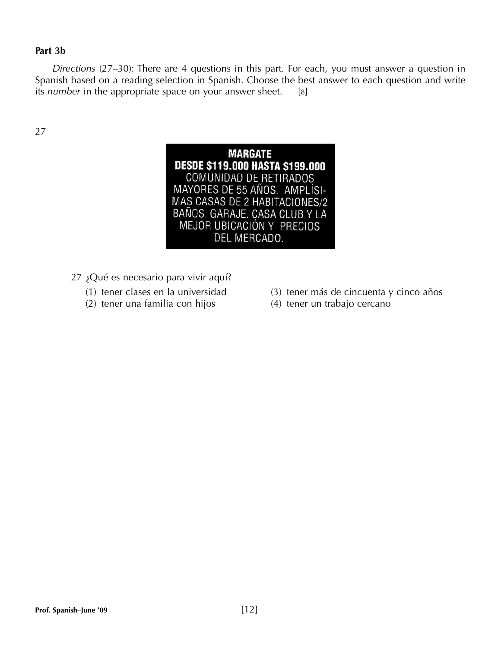#### **Part 3b**

*Directions* (27–30): There are 4 questions in this part. For each, you must answer a question in Spanish based on a reading selection in Spanish. Choose the best answer to each question and write its *number* in the appropriate space on your answer sheet. [8]

27



- 27 ¿Qué es necesario para vivir aquí?
	-
	- (2) tener una familia con hijos (4) tener un trabajo cercano
	- (1) tener clases en la universidad (3) tener más de cincuenta y cinco años
		-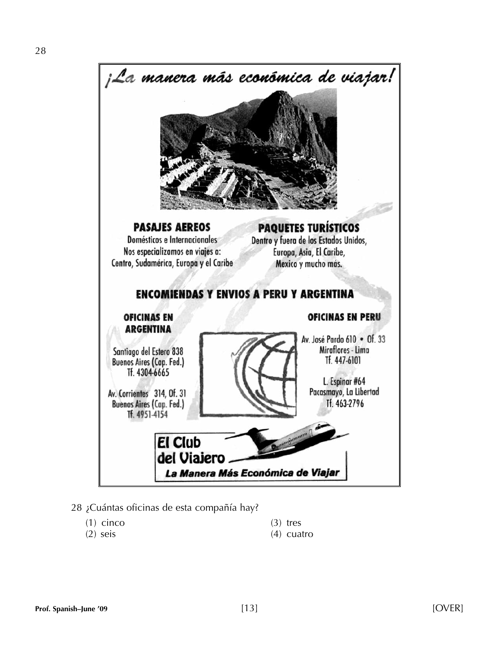



#### 28 ¿Cuántas oficinas de esta compañía hay?

- (1) cinco (3) tres
- 
- 
- (2) seis (4) cuatro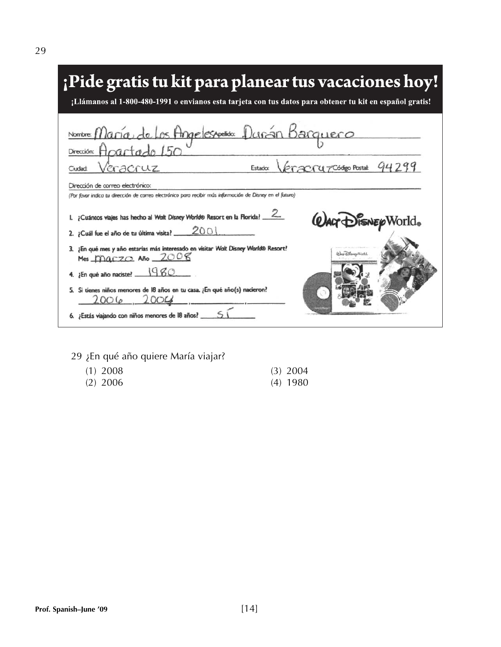| ; Pide gratis tu kit para planear tus vacaciones hoy!<br>¡Llámanos al 1-800-480-1991 o envianos esta tarjeta con tus datos para obtener tu kit en español gratis!                                                                |
|----------------------------------------------------------------------------------------------------------------------------------------------------------------------------------------------------------------------------------|
| Nombre: María de Los Angelesportido: Duran Barquero<br>Dirección: Apartado 150<br>Veracruz codeo Postal: 94299<br>eracruz<br>Estado:<br>Ciudad                                                                                   |
| Dirección de correo electrónico:<br>(Por favor indica tu dirección de correo electrónico para recibir más información de Disney en el futuro)<br>¿Cuántos viajes has hecho al Walt Disney World® Resort en la Florida? ____      |
| <b>WALT DISNEY World</b> .<br>2001<br>2. ¡Cuál fue el año de tu última visita? _<br>¿En qué mes y año estarías más interesado en visitar Walt Disney World® Resort?<br><i><b><i>Dar DimmyWorld</i></b></i><br>Mes maczo Año 2008 |
| ¿En qué año naciste? $1980$<br>Si tienes niños menores de 18 años en tu casa. ¿En qué año(s) nacieron?<br>2006                                                                                                                   |
| ¿Estás viajando con niños menores de l8 años? _                                                                                                                                                                                  |

29 ¿En qué año quiere María viajar?

| $(1)$ 2008 | $(3)$ 2004 |
|------------|------------|
| $(2)$ 2006 | $(4)$ 1980 |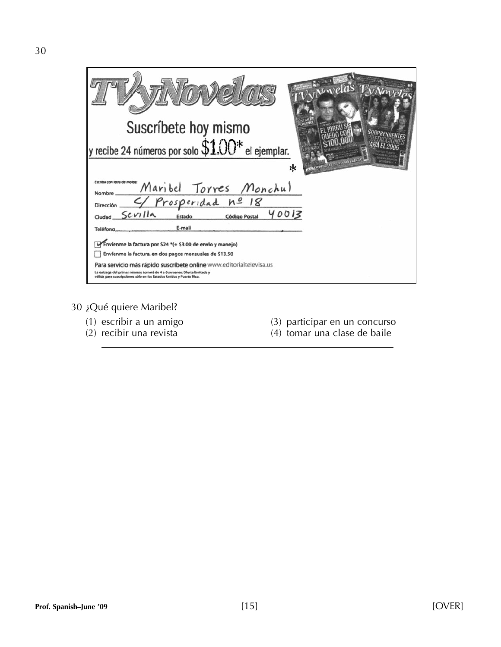| Suscríbete hoy mismo<br>y recibe 24 números por solo $\$100^*$ el ejemplar.<br><b>WALKSALLIEN</b><br>:k                                        |
|------------------------------------------------------------------------------------------------------------------------------------------------|
| Escriba con letra de molde:<br>"Maribel Torres Monchul<br>Nombre ____                                                                          |
| Dirección 4 Prosperidad nº 18                                                                                                                  |
| $Ciudad$ $Sevilla$<br>40013<br>Estado<br><b>Código Postal</b>                                                                                  |
| E-mail<br>Teléfong                                                                                                                             |
| Envienme la factura por \$24 *(+ \$3.00 de envio y manejo)                                                                                     |
| Envíenme la factura, en dos pagos mensuales de \$13.50                                                                                         |
| Para servicio más rápido suscríbete online www.editorialtelevisa.us                                                                            |
| La entrega del primer número tomará de 4 a 6 semanas. Oferta limitada y<br>válida para suscripciones sólo en los Estados Unidos y Puerto Rico. |

30 ¿Qué quiere Maribel?

- 
- 
- (1) escribir a un amigo (3) participar en un concurso
- (2) recibir una revista (4) tomar una clase de baile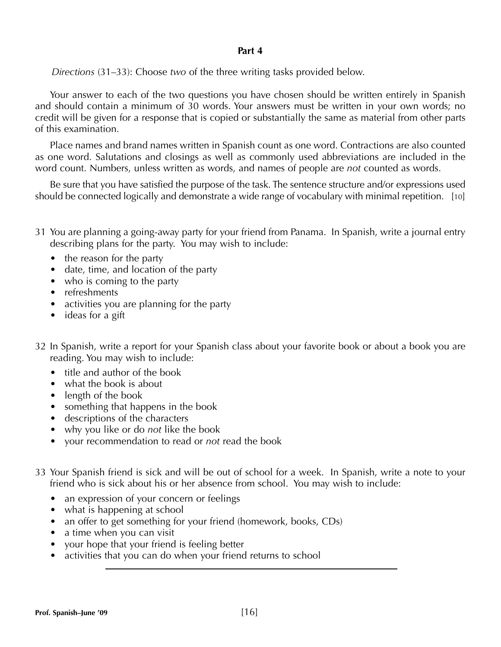#### **Part 4**

*Directions* (31–33): Choose *two* of the three writing tasks provided below.

Your answer to each of the two questions you have chosen should be written entirely in Spanish and should contain a minimum of 30 words. Your answers must be written in your own words; no credit will be given for a response that is copied or substantially the same as material from other parts of this examination.

Place names and brand names written in Spanish count as one word. Contractions are also counted as one word. Salutations and closings as well as commonly used abbreviations are included in the word count. Numbers, unless written as words, and names of people are *not* counted as words.

Be sure that you have satisfied the purpose of the task. The sentence structure and/or expressions used should be connected logically and demonstrate a wide range of vocabulary with minimal repetition. [10]

- 31 You are planning a going-away party for your friend from Panama. In Spanish, write a journal entry describing plans for the party. You may wish to include:
	- the reason for the party
	- date, time, and location of the party
	- who is coming to the party
	- refreshments
	- activities you are planning for the party
	- ideas for a gift
- 32 In Spanish, write a report for your Spanish class about your favorite book or about a book you are reading. You may wish to include:
	- title and author of the book
	- what the book is about
	- length of the book
	- something that happens in the book
	- descriptions of the characters
	- why you like or do *not* like the book
	- your recommendation to read or *not* read the book
- 33 Your Spanish friend is sick and will be out of school for a week. In Spanish, write a note to your friend who is sick about his or her absence from school. You may wish to include:
	- an expression of your concern or feelings
	- what is happening at school
	- an offer to get something for your friend (homework, books, CDs)
	- a time when you can visit
	- your hope that your friend is feeling better
	- activities that you can do when your friend returns to school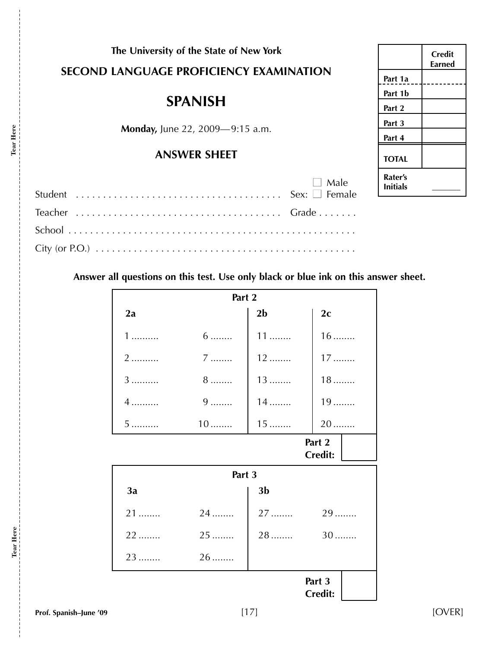| The University of the State of New York |  |  |                                         |
|-----------------------------------------|--|--|-----------------------------------------|
|                                         |  |  | SECOND LANGUAGE PROFICIENCY EXAMINATION |

# **SPANISH**

**Monday,** June 22, 2009—9:15 a.m.

# **ANSWER SHEET**

| $\Box$ Male |
|-------------|
|             |
|             |
|             |

|                            | Credit<br>Earned |
|----------------------------|------------------|
| Part 1a                    |                  |
| Part 1b                    |                  |
| Part 2                     |                  |
| Part 3                     |                  |
| Part 4                     |                  |
| <b>TOTAL</b>               |                  |
| Rater's<br><b>Initials</b> |                  |

**Answer all questions on this test. Use only black or blue ink on this answer sheet.**

| Part 2                   |           |                |                          |
|--------------------------|-----------|----------------|--------------------------|
| 2a                       |           | 2 <sub>b</sub> | 2 <sub>c</sub>           |
| $1$                      | $6 \dots$ | $11$           | $16$                     |
| 2                        | 7         | 12             | $17$                     |
| 3                        | $8$       | $13$           | $18$                     |
| 4                        | $9 \dots$ | $14$           | $19$                     |
| 5                        | $10$      | $15$           | $20$                     |
| Part 2<br><b>Credit:</b> |           |                |                          |
|                          | Part 3    |                |                          |
| 3a                       |           | 3 <sub>b</sub> |                          |
| $21$                     | 24        | 27             | 29                       |
| $22$                     | $25$      | $28$           | $30$                     |
| 23                       | $26$      |                |                          |
|                          |           |                | Part 3<br><b>Credit:</b> |

**Tear Here**

Tear Here